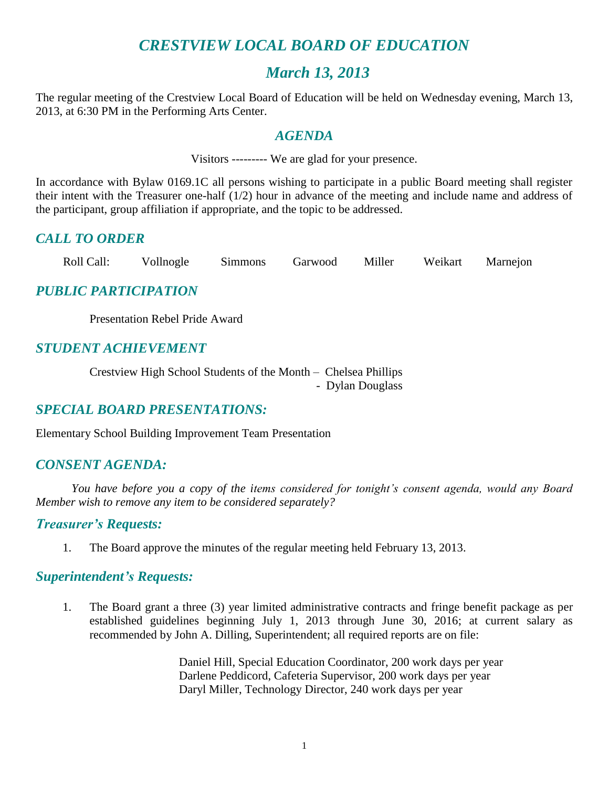# *CRESTVIEW LOCAL BOARD OF EDUCATION*

## *March 13, 2013*

The regular meeting of the Crestview Local Board of Education will be held on Wednesday evening, March 13, 2013, at 6:30 PM in the Performing Arts Center.

## *AGENDA*

Visitors --------- We are glad for your presence.

In accordance with Bylaw 0169.1C all persons wishing to participate in a public Board meeting shall register their intent with the Treasurer one-half (1/2) hour in advance of the meeting and include name and address of the participant, group affiliation if appropriate, and the topic to be addressed.

## *CALL TO ORDER*

Roll Call: Vollnogle Simmons Garwood Miller Weikart Marnejon

## *PUBLIC PARTICIPATION*

Presentation Rebel Pride Award

## *STUDENT ACHIEVEMENT*

Crestview High School Students of the Month – Chelsea Phillips - Dylan Douglass

## *SPECIAL BOARD PRESENTATIONS:*

Elementary School Building Improvement Team Presentation

## *CONSENT AGENDA:*

*You have before you a copy of the items considered for tonight's consent agenda, would any Board Member wish to remove any item to be considered separately?*

#### *Treasurer's Requests:*

1. The Board approve the minutes of the regular meeting held February 13, 2013.

#### *Superintendent's Requests:*

1. The Board grant a three (3) year limited administrative contracts and fringe benefit package as per established guidelines beginning July 1, 2013 through June 30, 2016; at current salary as recommended by John A. Dilling, Superintendent; all required reports are on file:

> Daniel Hill, Special Education Coordinator, 200 work days per year Darlene Peddicord, Cafeteria Supervisor, 200 work days per year Daryl Miller, Technology Director, 240 work days per year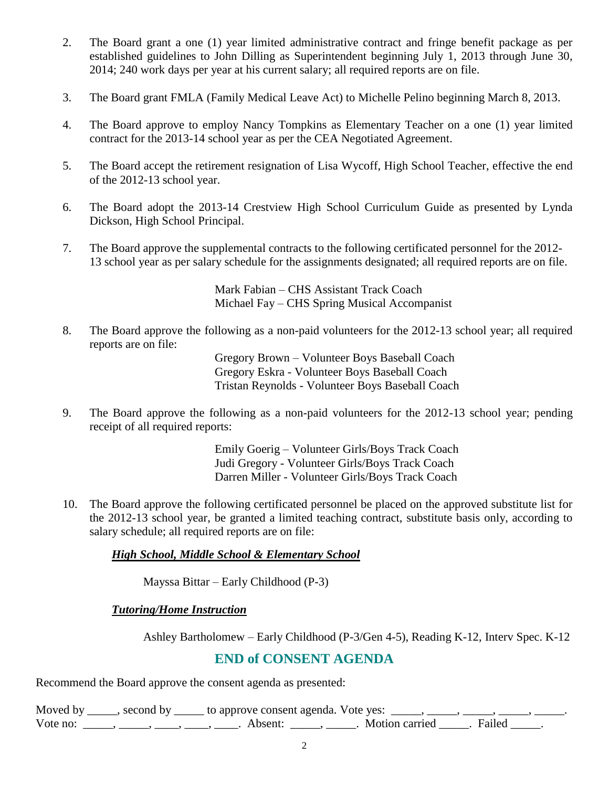- 2. The Board grant a one (1) year limited administrative contract and fringe benefit package as per established guidelines to John Dilling as Superintendent beginning July 1, 2013 through June 30, 2014; 240 work days per year at his current salary; all required reports are on file.
- 3. The Board grant FMLA (Family Medical Leave Act) to Michelle Pelino beginning March 8, 2013.
- 4. The Board approve to employ Nancy Tompkins as Elementary Teacher on a one (1) year limited contract for the 2013-14 school year as per the CEA Negotiated Agreement.
- 5. The Board accept the retirement resignation of Lisa Wycoff, High School Teacher, effective the end of the 2012-13 school year.
- 6. The Board adopt the 2013-14 Crestview High School Curriculum Guide as presented by Lynda Dickson, High School Principal.
- 7. The Board approve the supplemental contracts to the following certificated personnel for the 2012- 13 school year as per salary schedule for the assignments designated; all required reports are on file.

Mark Fabian – CHS Assistant Track Coach Michael Fay – CHS Spring Musical Accompanist

8. The Board approve the following as a non-paid volunteers for the 2012-13 school year; all required reports are on file:

> Gregory Brown – Volunteer Boys Baseball Coach Gregory Eskra - Volunteer Boys Baseball Coach Tristan Reynolds - Volunteer Boys Baseball Coach

9. The Board approve the following as a non-paid volunteers for the 2012-13 school year; pending receipt of all required reports:

> Emily Goerig – Volunteer Girls/Boys Track Coach Judi Gregory - Volunteer Girls/Boys Track Coach Darren Miller - Volunteer Girls/Boys Track Coach

10. The Board approve the following certificated personnel be placed on the approved substitute list for the 2012-13 school year, be granted a limited teaching contract, substitute basis only, according to salary schedule; all required reports are on file:

*High School, Middle School & Elementary School*

Mayssa Bittar – Early Childhood (P-3)

#### *Tutoring/Home Instruction*

Ashley Bartholomew – Early Childhood (P-3/Gen 4-5), Reading K-12, Interv Spec. K-12

## **END of CONSENT AGENDA**

Recommend the Board approve the consent agenda as presented:

Moved by \_\_\_\_\_, second by \_\_\_\_\_\_ to approve consent agenda. Vote yes:  $\frac{1}{\sqrt{2}}$ Vote no: \_\_\_\_\_, \_\_\_\_, \_\_\_\_, \_\_\_\_, Absent: \_\_\_\_, \_\_\_\_. Motion carried \_\_\_\_\_. Failed \_\_\_\_\_.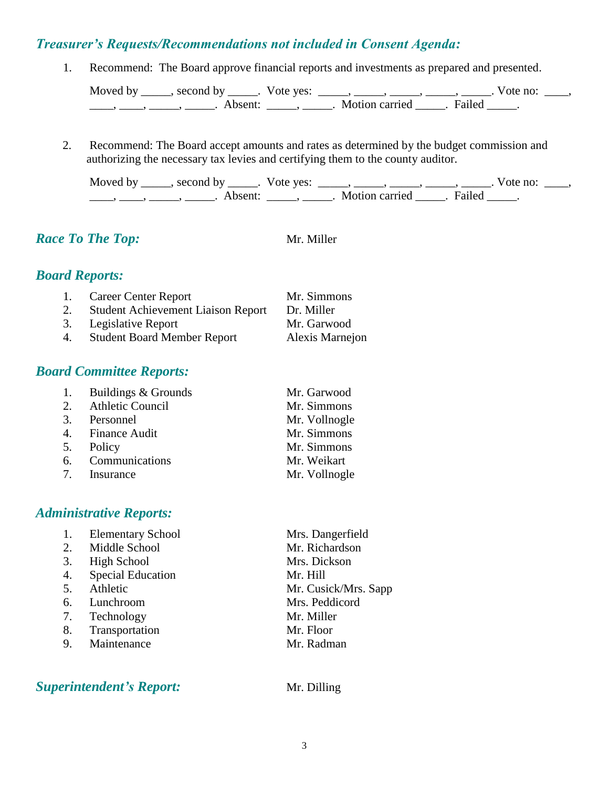## *Treasurer's Requests/Recommendations not included in Consent Agenda:*

1. Recommend: The Board approve financial reports and investments as prepared and presented.

Moved by \_\_\_\_\_, second by \_\_\_\_\_. Vote yes:  $\_\_\_\_\_\_\_\_\_\_\_\_\_\_\_\_\_\_$  \_\_\_\_, \_\_\_\_, \_\_\_\_. Vote no:  $\_\_\_\_\_\$ \_\_\_\_\_, \_\_\_\_\_\_, \_\_\_\_\_\_\_. Absent: \_\_\_\_\_\_, \_\_\_\_\_\_. Motion carried \_\_\_\_\_\_. Failed \_\_\_\_\_.

2. Recommend: The Board accept amounts and rates as determined by the budget commission and authorizing the necessary tax levies and certifying them to the county auditor.

Moved by \_\_\_\_\_, second by \_\_\_\_\_. Vote yes:  $\_\_\_\_\_\_\_\_\_\_\_\_\_\_\_$  \_\_\_\_\_, \_\_\_\_\_, \_\_\_\_\_. Vote no:  $\_\_\_\_\_\_\$ \_\_\_\_, \_\_\_\_\_, \_\_\_\_\_\_, Absent: \_\_\_\_\_, \_\_\_\_\_. Motion carried \_\_\_\_\_. Failed \_\_\_\_\_.

*Race To The Top:* Mr. Miller

# *Board Reports:*

| 1. | <b>Career Center Report</b>               | Mr. Simmons     |
|----|-------------------------------------------|-----------------|
| 2. | <b>Student Achievement Liaison Report</b> | Dr. Miller      |
|    | 3. Legislative Report                     | Mr. Garwood     |
| 4. | <b>Student Board Member Report</b>        | Alexis Marnejon |

## *Board Committee Reports:*

| 1. Buildings & Grounds | Mr. Garwood   |
|------------------------|---------------|
| 2. Athletic Council    | Mr. Simmons   |
| 3. Personnel           | Mr. Vollnogle |
| 4. Finance Audit       | Mr. Simmons   |
| 5. Policy              | Mr. Simmons   |
| 6. Communications      | Mr. Weikart   |
| 7. Insurance           | Mr. Vollnogle |

## *Administrative Reports:*

- 1. Elementary School Mrs. Dangerfield
- 2. Middle School Mr. Richardson
- 3. High School Mrs. Dickson
- 4. Special Education Mr. Hill
- 
- 6. Lunchroom Mrs. Peddicord
- 7. Technology Mr. Miller
- 8. Transportation Mr. Floor
- 9. Maintenance Mr. Radman

## *Superintendent's Report:* Mr. Dilling

5. Athletic Mr. Cusick/Mrs. Sapp